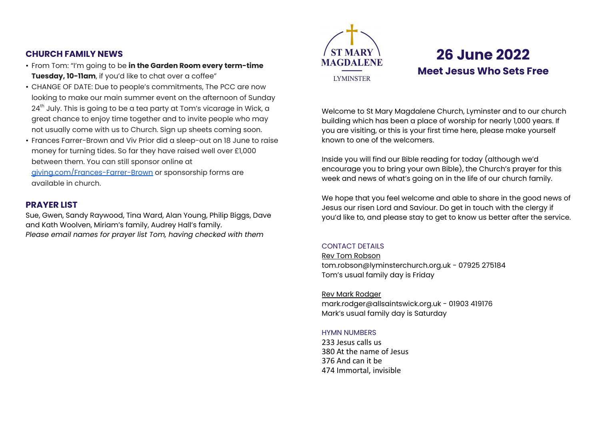## **CHURCH FAMILY NEWS**

- From Tom: "I'm going to be **in the Garden Room every term-time Tuesday, 10-11am**, if you'd like to chat over a coffee"
- CHANGE OF DATE: Due to people's commitments, The PCC are now looking to make our main summer event on the afternoon of Sunday 24<sup>th</sup> July. This is going to be a tea party at Tom's vicarage in Wick, a great chance to enjoy time together and to invite people who may not usually come with us to Church. Sign up sheets coming soon.
- Frances Farrer-Brown and Viv Prior did a sleep-out on 18 June to raise money for turning tides. So far they have raised well over £1,000 between them. You can still sponsor online at [giving.com/Frances-Farrer-Brown](http://giving.com/Frances-Farrer-Brown) or sponsorship forms are

available in church.

# **PRAYER LIST**

Sue, Gwen, Sandy Raywood, Tina Ward, Alan Young, Philip Biggs, Dave and Kath Woolven, Miriam's family, Audrey Hall's family. *Please email names for prayer list Tom, having checked with them*



# **26 June 2022 Meet Jesus Who Sets Free**

Welcome to St Mary Magdalene Church, Lyminster and to our church building which has been a place of worship for nearly 1,000 years. If you are visiting, or this is your first time here, please make yourself known to one of the welcomers.

Inside you will find our Bible reading for today (although we'd encourage you to bring your own Bible), the Church's prayer for this week and news of what's going on in the life of our church family.

We hope that you feel welcome and able to share in the good news of Jesus our risen Lord and Saviour. Do get in touch with the clergy if you'd like to, and please stay to get to know us better after the service.

## CONTACT DETAILS

Rev Tom Robson [tom.robson@lyminsterchurch.org.uk](mailto:tom.robson@allsaintswick.org.uk) - 07925 275184 Tom's usual family day is Friday

Rev Mark Rodger [mark.rodger@allsaintswick.org.uk](mailto:mark.rodger@allsaintswick.org.uk) - 01903 419176 Mark's usual family day is Saturday

## HYMN NUMBERS

233 Jesus calls us 380 At the name of Jesus 376 And can it be 474 Immortal, invisible